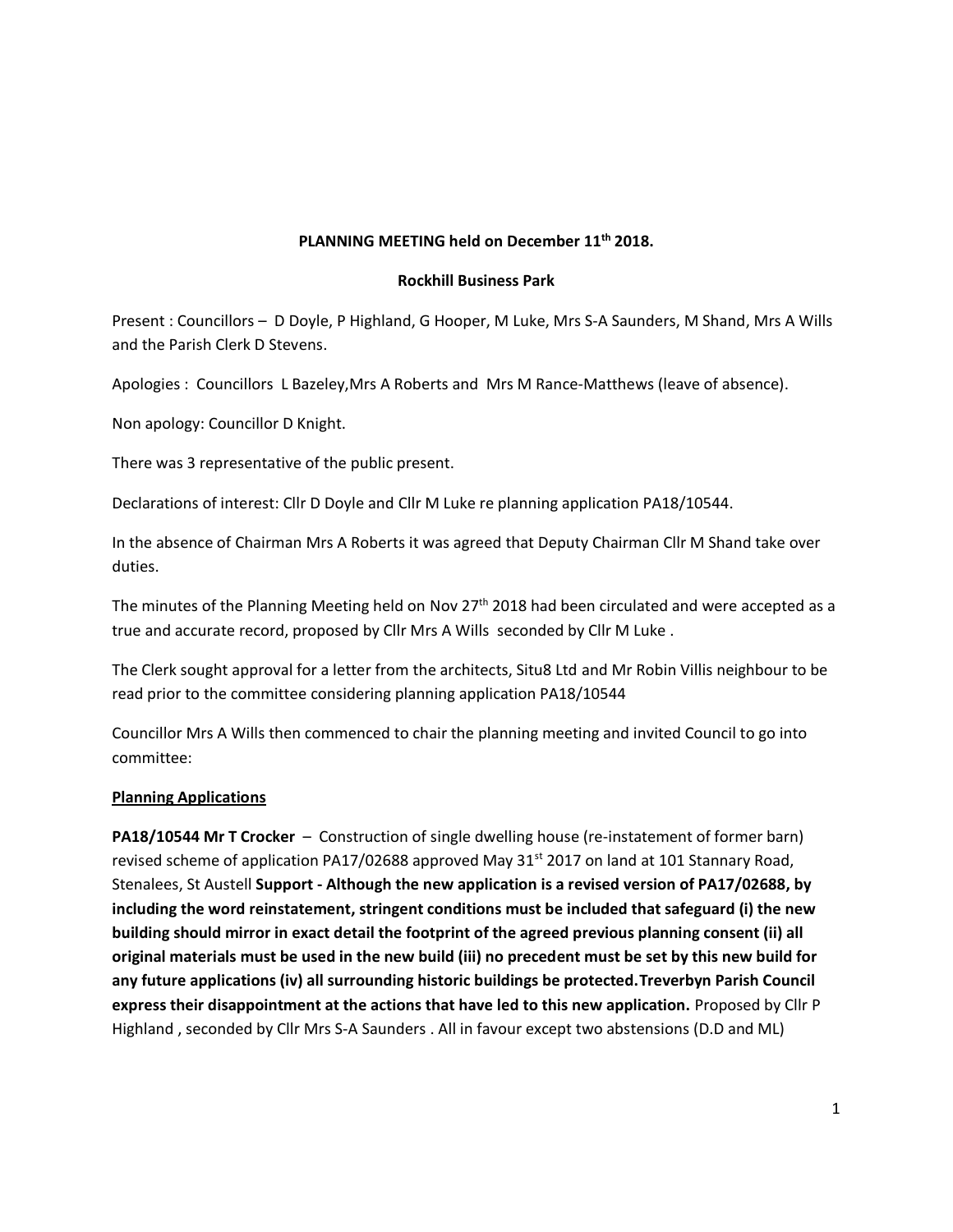# **PLANNING MEETING held on December 11th 2018.**

#### **Rockhill Business Park**

Present : Councillors – D Doyle, P Highland, G Hooper, M Luke, Mrs S-A Saunders, M Shand, Mrs A Wills and the Parish Clerk D Stevens.

Apologies : Councillors L Bazeley,Mrs A Roberts and Mrs M Rance-Matthews (leave of absence).

Non apology: Councillor D Knight.

There was 3 representative of the public present.

Declarations of interest: Cllr D Doyle and Cllr M Luke re planning application PA18/10544.

In the absence of Chairman Mrs A Roberts it was agreed that Deputy Chairman Cllr M Shand take over duties.

The minutes of the Planning Meeting held on Nov  $27<sup>th</sup>$  2018 had been circulated and were accepted as a true and accurate record, proposed by Cllr Mrs A Wills seconded by Cllr M Luke .

The Clerk sought approval for a letter from the architects, Situ8 Ltd and Mr Robin Villis neighbour to be read prior to the committee considering planning application PA18/10544

Councillor Mrs A Wills then commenced to chair the planning meeting and invited Council to go into committee:

#### **Planning Applications**

**PA18/10544 Mr T Crocker** – Construction of single dwelling house (re-instatement of former barn) revised scheme of application PA17/02688 approved May  $31<sup>st</sup>$  2017 on land at 101 Stannary Road, Stenalees, St Austell **Support - Although the new application is a revised version of PA17/02688, by including the word reinstatement, stringent conditions must be included that safeguard (i) the new building should mirror in exact detail the footprint of the agreed previous planning consent (ii) all original materials must be used in the new build (iii) no precedent must be set by this new build for any future applications (iv) all surrounding historic buildings be protected.Treverbyn Parish Council express their disappointment at the actions that have led to this new application.** Proposed by Cllr P Highland , seconded by Cllr Mrs S-A Saunders . All in favour except two abstensions (D.D and ML)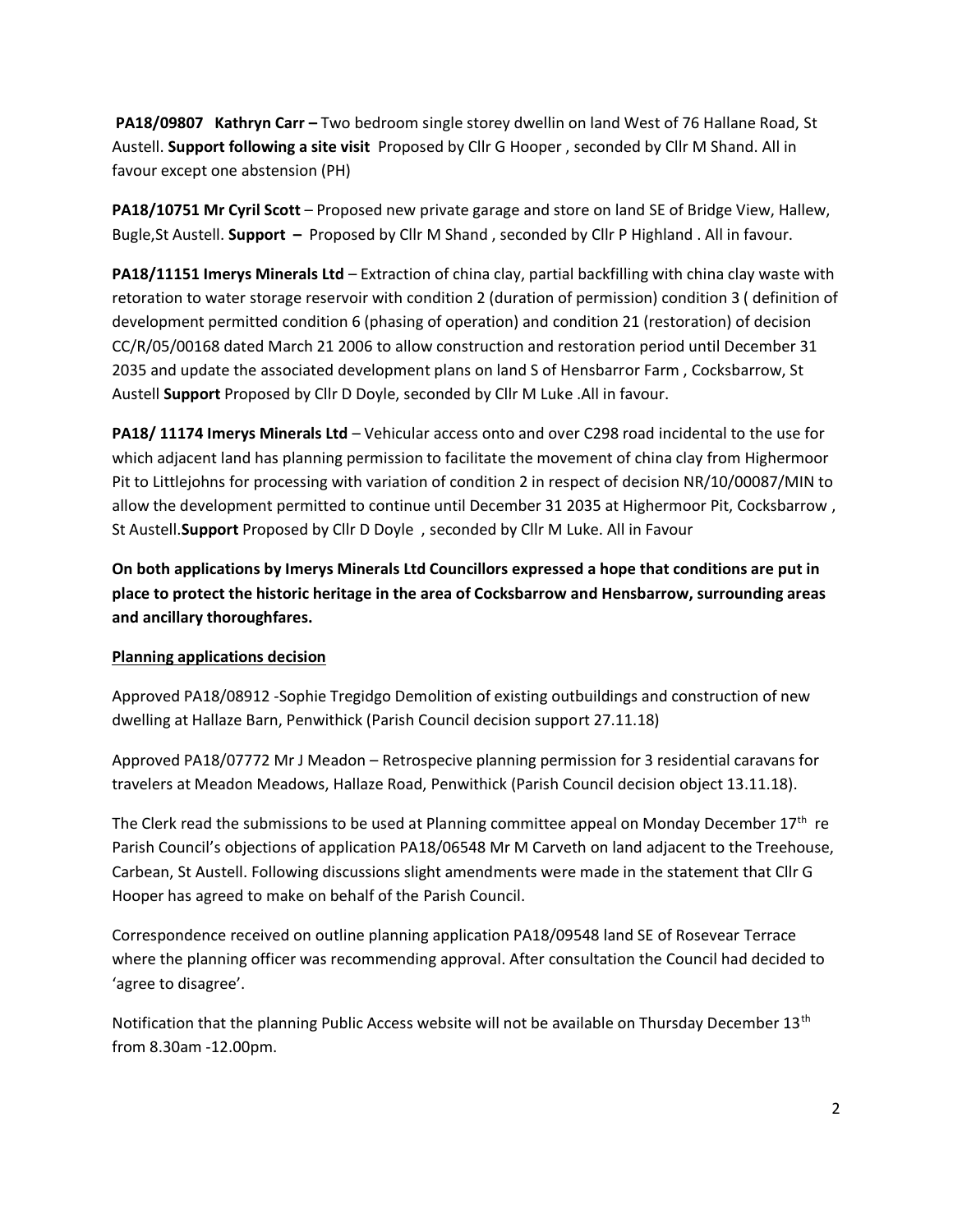**PA18/09807 Kathryn Carr –** Two bedroom single storey dwellin on land West of 76 Hallane Road, St Austell. **Support following a site visit** Proposed by Cllr G Hooper , seconded by Cllr M Shand. All in favour except one abstension (PH)

**PA18/10751 Mr Cyril Scott** – Proposed new private garage and store on land SE of Bridge View, Hallew, Bugle,St Austell. **Support –** Proposed by Cllr M Shand , seconded by Cllr P Highland . All in favour.

**PA18/11151 Imerys Minerals Ltd** – Extraction of china clay, partial backfilling with china clay waste with retoration to water storage reservoir with condition 2 (duration of permission) condition 3 ( definition of development permitted condition 6 (phasing of operation) and condition 21 (restoration) of decision CC/R/05/00168 dated March 21 2006 to allow construction and restoration period until December 31 2035 and update the associated development plans on land S of Hensbarror Farm , Cocksbarrow, St Austell **Support** Proposed by Cllr D Doyle, seconded by Cllr M Luke .All in favour.

**PA18/ 11174 Imerys Minerals Ltd** – Vehicular access onto and over C298 road incidental to the use for which adjacent land has planning permission to facilitate the movement of china clay from Highermoor Pit to Littlejohns for processing with variation of condition 2 in respect of decision NR/10/00087/MIN to allow the development permitted to continue until December 31 2035 at Highermoor Pit, Cocksbarrow , St Austell.**Support** Proposed by Cllr D Doyle , seconded by Cllr M Luke. All in Favour

**On both applications by Imerys Minerals Ltd Councillors expressed a hope that conditions are put in place to protect the historic heritage in the area of Cocksbarrow and Hensbarrow, surrounding areas and ancillary thoroughfares.**

### **Planning applications decision**

Approved PA18/08912 -Sophie Tregidgo Demolition of existing outbuildings and construction of new dwelling at Hallaze Barn, Penwithick (Parish Council decision support 27.11.18)

Approved PA18/07772 Mr J Meadon – Retrospecive planning permission for 3 residential caravans for travelers at Meadon Meadows, Hallaze Road, Penwithick (Parish Council decision object 13.11.18).

The Clerk read the submissions to be used at Planning committee appeal on Monday December  $17<sup>th</sup>$  re Parish Council's objections of application PA18/06548 Mr M Carveth on land adjacent to the Treehouse, Carbean, St Austell. Following discussions slight amendments were made in the statement that Cllr G Hooper has agreed to make on behalf of the Parish Council.

Correspondence received on outline planning application PA18/09548 land SE of Rosevear Terrace where the planning officer was recommending approval. After consultation the Council had decided to 'agree to disagree'.

Notification that the planning Public Access website will not be available on Thursday December 13<sup>th</sup> from 8.30am -12.00pm.